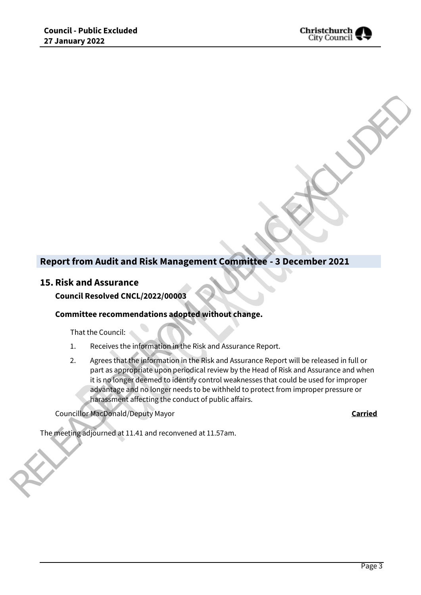

# **Report from Audit and Risk Management Committee - 3 December 2021**

## **15. Risk and Assurance**

### **Council Resolved CNCL/2022/00003**

#### **Committee recommendations adopted without change.**

That the Council:

- 1. Receives the information in the Risk and Assurance Report.
- 2. Agrees that the information in the Risk and Assurance Report will be released in full or part as appropriate upon periodical review by the Head of Risk and Assurance and when it is no longer deemed to identify control weaknesses that could be used for improper advantage and no longer needs to be withheld to protect from improper pressure or harassment affecting the conduct of public affairs. Report from Audit and Risk Management Committee - 3 December 2021<br>
15. Risk and Assurance<br>
Council Resolved CNCL/2022/00063<br>
Committee recommendations adopted without change.<br>
That Council Resolved CNCL/2022/00063<br>
Council

Councillor MacDonald/Deputy Mayor **Carried**

The meeting adjourned at 11.41 and reconvened at 11.57am.